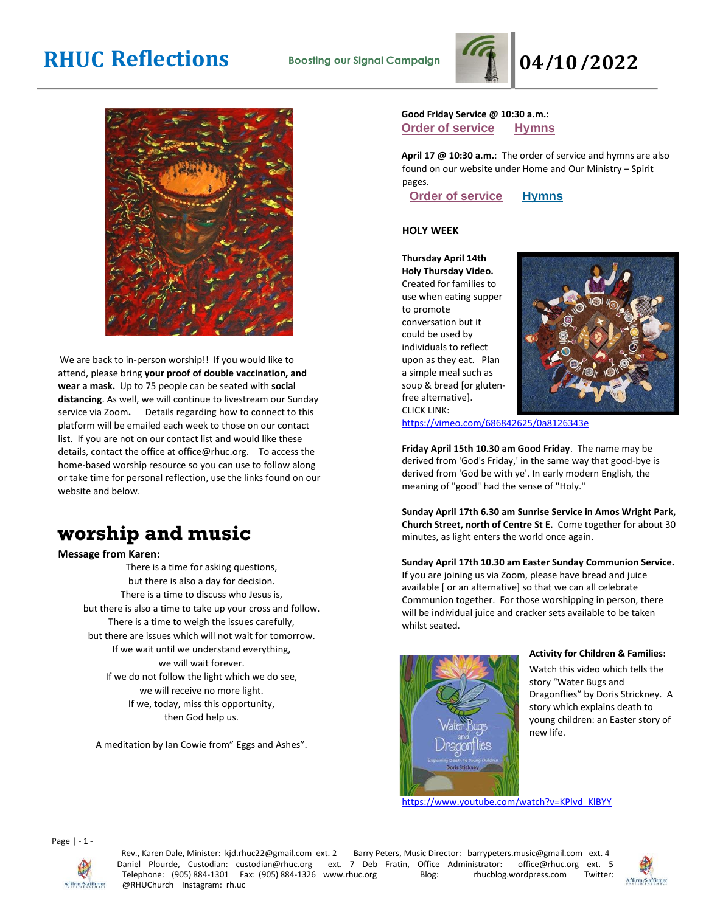# **RHUC Reflections Boosting our Signal Campaign 04/10/2022**





We are back to in-person worship!! If you would like to attend, please bring **your proof of double vaccination, and wear a mask.** Up to 75 people can be seated with **social distancing**. As well, we will continue to livestream our Sunday service via Zoom**.** Details regarding how to connect to this platform will be emailed each week to those on our contact list. If you are not on our contact list and would like these details, contact the office at office@rhuc.org. To access the home-based worship resource so you can use to follow along or take time for personal reflection, use the links found on our website and below.

# **worship and music**

**Message from Karen:**

There is a time for asking questions, but there is also a day for decision. There is a time to discuss who Jesus is, but there is also a time to take up your cross and follow. There is a time to weigh the issues carefully, but there are issues which will not wait for tomorrow. If we wait until we understand everything, we will wait forever. If we do not follow the light which we do see, we will receive no more light. If we, today, miss this opportunity, then God help us.

A meditation by Ian Cowie from" Eggs and Ashes".

## **Good Friday Service @ 10:30 a.m.: Order of [service](http://rhuc.org/April%2015%20OofS%20Good%20Friday%20web.pdf) [Hymns](http://rhuc.org/Hymns%20for%202022%2004%2015%20Good%20Friday%20(1).pdf)**

**April 17 @ 10:30 a.m.**: The order of service and hymns are also found on our website under Home and Our Ministry – Spirit pages.

**Order of [service](http://rhuc.org/April%2017%20OofS%20Easter%20Sunday%20(1).pdf) [Hymns](http://rhuc.org/Hymns%20for%202022%2004%2017%20Easter%20Sunday.pdf)**

### **HOLY WEEK**

**Thursday April 14th Holy Thursday Video.**  Created for families to use when eating supper to promote conversation but it could be used by individuals to reflect upon as they eat. Plan a simple meal such as soup & bread [or glutenfree alternative]. CLICK LINK:



<https://vimeo.com/686842625/0a8126343e>

**Friday April 15th 10.30 am Good Friday**. The name may be derived from 'God's Friday,' in the same way that good-bye is derived from 'God be with ye'. In early modern English, the meaning of "good" had the sense of "Holy."

**Sunday April 17th 6.30 am Sunrise Service in Amos Wright Park, Church Street, north of Centre St E.** Come together for about 30 minutes, as light enters the world once again.

### **Sunday April 17th 10.30 am Easter Sunday Communion Service.**

If you are joining us via Zoom, please have bread and juice available [ or an alternative] so that we can all celebrate Communion together. For those worshipping in person, there will be individual juice and cracker sets available to be taken whilst seated.



#### **Activity for Children & Families:**

Watch this video which tells the story "Water Bugs and Dragonflies" by Doris Strickney. A story which explains death to young children: an Easter story of new life.

[https://www.youtube.com/watch?v=KPlvd\\_KlBYY](https://www.youtube.com/watch?v=KPlvd_KlBYY)



Rev., Karen Dale, Minister: kjd.rhuc22@gmail.com ext. 2 Barry Peters, Music Director: barrypeters.music@gmail.com ext. 4<br>Vaniel Plourde, Custodian: custodian@rhuc.org ext. 7 Deb Fratin, Office Administrator: office@rhuc.or Daniel Plourde, Custodian: custodian@rhuc.org ext. 7 Deb Fratin, Office Administrator: office@rhuc.org ext. 5 Telephone: (905) 884-1301 Fax: (905) 884-1326 www.rhuc.org Blog: rhucblog.wordpress.com Twitter: @RHUChurch Instagram: rh.uc



Affirm/S'affirmer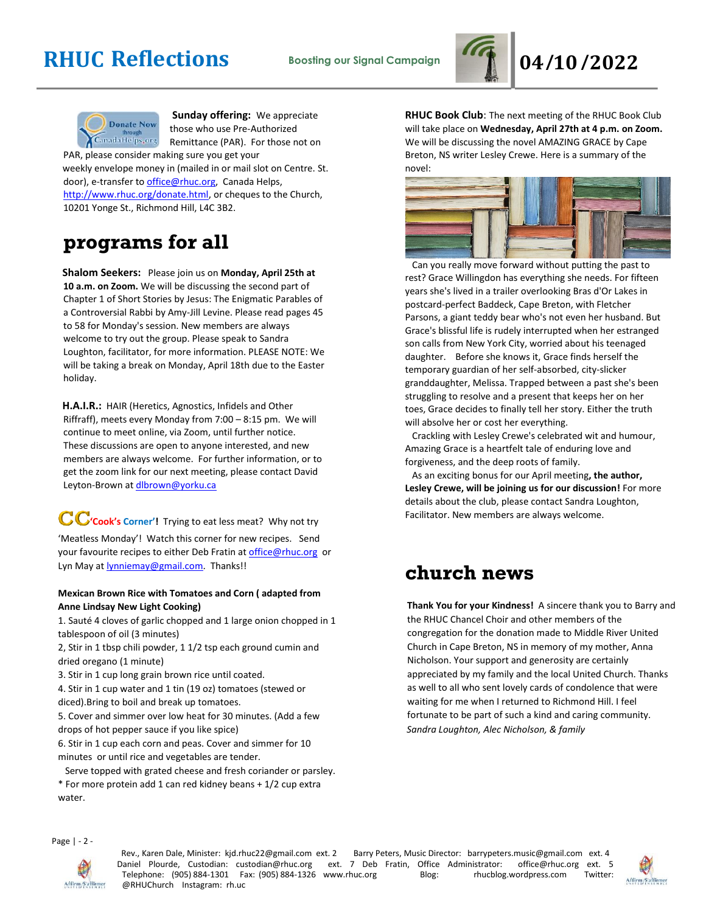# **RHUC Reflections Boosting our Signal Campaign 04/10/2022**





**Sunday offering:** We appreciate those who use Pre-Authorized Remittance (PAR). For those not on

PAR, please consider making sure you get your weekly envelope money in (mailed in or mail slot on Centre. St. door), e-transfer to office@rhuc.org, Canada Helps, [http://www.rhuc.org/donate.html,](http://www.rhuc.org/donate.html) or cheques to the Church, 10201 Yonge St., Richmond Hill, L4C 3B2.

# **programs for all**

**Shalom Seekers:** Please join us on **Monday, April 25th at 10 a.m. on Zoom.** We will be discussing the second part of Chapter 1 of Short Stories by Jesus: The Enigmatic Parables of a Controversial Rabbi by Amy-Jill Levine. Please read pages 45 to 58 for Monday's session. New members are always welcome to try out the group. Please speak to Sandra Loughton, facilitator, for more information. PLEASE NOTE: We will be taking a break on Monday, April 18th due to the Easter holiday.

**H.A.I.R.:** HAIR (Heretics, Agnostics, Infidels and Other Riffraff), meets every Monday from 7:00 – 8:15 pm. We will continue to meet online, via Zoom, until further notice. These discussions are open to anyone interested, and new members are always welcome. For further information, or to get the zoom link for our next meeting, please contact David Leyton-Brown at dlbrown@yorku.ca

CC<sup>'</sup>Cook's Corner'! Trying to eat less meat? Why not try 'Meatless Monday'! Watch this corner for new recipes. Send your favourite recipes to either Deb Fratin at [office@rhuc.org](mailto:office@rhuc.org) or Lyn May at **lynniemay@gmail.com**. Thanks!!

## **Mexican Brown Rice with Tomatoes and Corn ( adapted from Anne Lindsay New Light Cooking)**

1. Sauté 4 cloves of garlic chopped and 1 large onion chopped in 1 tablespoon of oil (3 minutes)

2, Stir in 1 tbsp chili powder, 1 1/2 tsp each ground cumin and dried oregano (1 minute)

3. Stir in 1 cup long grain brown rice until coated.

4. Stir in 1 cup water and 1 tin (19 oz) tomatoes (stewed or diced).Bring to boil and break up tomatoes.

5. Cover and simmer over low heat for 30 minutes. (Add a few drops of hot pepper sauce if you like spice)

6. Stir in 1 cup each corn and peas. Cover and simmer for 10 minutes or until rice and vegetables are tender.

Serve topped with grated cheese and fresh coriander or parsley.

\* For more protein add 1 can red kidney beans + 1/2 cup extra water.

**RHUC Book Club**: The next meeting of the RHUC Book Club will take place on **Wednesday, April 27th at 4 p.m. on Zoom.** We will be discussing the novel AMAZING GRACE by Cape Breton, NS writer Lesley Crewe. Here is a summary of the novel:



 Can you really move forward without putting the past to rest? Grace Willingdon has everything she needs. For fifteen years she's lived in a trailer overlooking Bras d'Or Lakes in postcard-perfect Baddeck, Cape Breton, with Fletcher Parsons, a giant teddy bear who's not even her husband. But Grace's blissful life is rudely interrupted when her estranged son calls from New York City, worried about his teenaged daughter. Before she knows it, Grace finds herself the temporary guardian of her self-absorbed, city-slicker granddaughter, Melissa. Trapped between a past she's been struggling to resolve and a present that keeps her on her toes, Grace decides to finally tell her story. Either the truth will absolve her or cost her everything.

 Crackling with Lesley Crewe's celebrated wit and humour, Amazing Grace is a heartfelt tale of enduring love and forgiveness, and the deep roots of family.

 As an exciting bonus for our April meeting**, the author, Lesley Crewe, will be joining us for our discussion!** For more details about the club, please contact Sandra Loughton, Facilitator. New members are always welcome.

# **church news**

**Thank You for your Kindness!** A sincere thank you to Barry and the RHUC Chancel Choir and other members of the congregation for the donation made to Middle River United Church in Cape Breton, NS in memory of my mother, Anna Nicholson. Your support and generosity are certainly appreciated by my family and the local United Church. Thanks as well to all who sent lovely cards of condolence that were waiting for me when I returned to Richmond Hill. I feel fortunate to be part of such a kind and caring community. *Sandra Loughton, Alec Nicholson, & family*

Page | - 2 -



Rev., Karen Dale, Minister: kjd.rhuc22@gmail.com ext. 2 Barry Peters, Music Director: barrypeters.music@gmail.com ext. 4 Daniel Plourde, Custodian: custodian@rhuc.org ext. 7 Deb Fratin, Office Administrator: office@rhuc.org ext. 5<br>Telephone: (905) 884-1301 Fax: (905) 884-1326 www.rhuc.org Blog: rhucblog.wordpress.com Twitter: Telephone: (905) 884-1301 Fax: (905) 884-1326 www.rhuc.org Blog: rhucblog.wordpress.com @RHUChurch Instagram: rh.uc